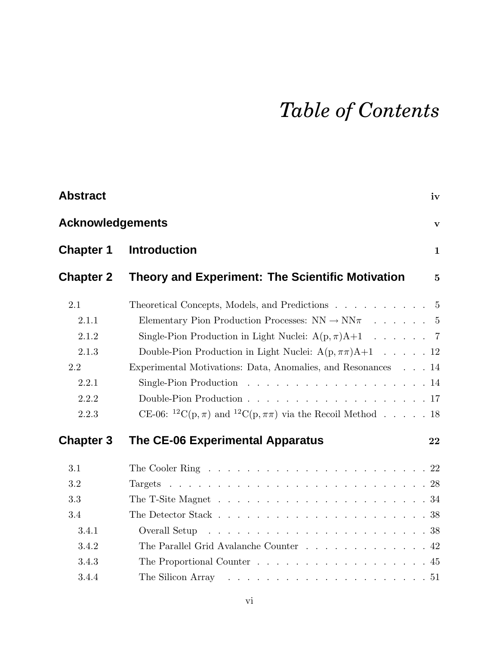## *Table of Contents*

| <b>Abstract</b>         | iv                                                                                                                                                              |                 |
|-------------------------|-----------------------------------------------------------------------------------------------------------------------------------------------------------------|-----------------|
| <b>Acknowledgements</b> |                                                                                                                                                                 | $\mathbf{V}$    |
| <b>Chapter 1</b>        | <b>Introduction</b>                                                                                                                                             | $\mathbf{1}$    |
| <b>Chapter 2</b>        | <b>Theory and Experiment: The Scientific Motivation</b>                                                                                                         | $5\overline{)}$ |
| 2.1                     | Theoretical Concepts, Models, and Predictions 5                                                                                                                 |                 |
| 2.1.1<br>2.1.2          | Elementary Pion Production Processes: $NN \rightarrow NN\pi$ 5<br>Single-Pion Production in Light Nuclei: $A(p, \pi)A+1$ 7                                      |                 |
| 2.1.3                   | Double-Pion Production in Light Nuclei: $A(p, \pi\pi)A+1$ 12                                                                                                    |                 |
| 2.2                     | Experimental Motivations: Data, Anomalies, and Resonances 14                                                                                                    |                 |
| 2.2.1                   |                                                                                                                                                                 |                 |
| 2.2.2                   |                                                                                                                                                                 |                 |
| 2.2.3                   | CE-06: <sup>12</sup> C(p, $\pi$ ) and <sup>12</sup> C(p, $\pi\pi$ ) via the Recoil Method 18                                                                    |                 |
| <b>Chapter 3</b>        | The CE-06 Experimental Apparatus<br>22                                                                                                                          |                 |
| 3.1                     | The Cooler Ring $\ldots$ $\ldots$ $\ldots$ $\ldots$ $\ldots$ $\ldots$ $\ldots$ $\ldots$ $\ldots$ $\ldots$ $\ldots$ $\ldots$ $\ldots$ $\ldots$ $\ldots$ $\ldots$ |                 |
| 3.2                     |                                                                                                                                                                 |                 |
| 3.3                     |                                                                                                                                                                 |                 |
| 3.4                     |                                                                                                                                                                 |                 |
| 3.4.1                   |                                                                                                                                                                 |                 |
| 3.4.2                   | The Parallel Grid Avalanche Counter 42                                                                                                                          |                 |
| 3.4.3                   | The Proportional Counter $\ldots$ 45                                                                                                                            |                 |
| 3.4.4                   | The Silicon Array                                                                                                                                               |                 |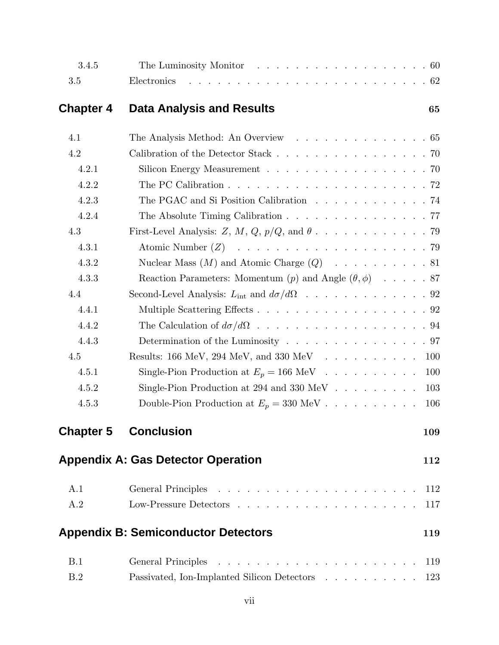| 3.4.5            | The Luminosity Monitor 60                                                              |     |
|------------------|----------------------------------------------------------------------------------------|-----|
| 3.5              | Electronics                                                                            |     |
| <b>Chapter 4</b> | <b>Data Analysis and Results</b>                                                       | 65  |
| 4.1              | The Analysis Method: An Overview 65                                                    |     |
| 4.2              | Calibration of the Detector Stack 70                                                   |     |
| 4.2.1            | Silicon Energy Measurement 70                                                          |     |
| 4.2.2            | The PC Calibration $\ldots \ldots \ldots \ldots \ldots \ldots \ldots \ldots \ldots 72$ |     |
| 4.2.3            | The PGAC and Si Position Calibration 74                                                |     |
| 4.2.4            | The Absolute Timing Calibration $\ldots$ 77                                            |     |
| 4.3              |                                                                                        |     |
| 4.3.1            |                                                                                        |     |
| 4.3.2            | Nuclear Mass $(M)$ and Atomic Charge $(Q)$ 81                                          |     |
| 4.3.3            | Reaction Parameters: Momentum $(p)$ and Angle $(\theta, \phi)$ 87                      |     |
| 4.4              | Second-Level Analysis: $L_{int}$ and $d\sigma/d\Omega$ 92                              |     |
| 4.4.1            | Multiple Scattering Effects 92                                                         |     |
| 4.4.2            |                                                                                        |     |
| 4.4.3            | Determination of the Luminosity $\ldots$ 97                                            |     |
| 4.5              |                                                                                        | 100 |
| 4.5.1            | Single-Pion Production at $E_p = 166 \text{ MeV}$                                      | 100 |
| 4.5.2            | Single-Pion Production at 294 and 330 MeV $\ldots$                                     | 103 |
| 4.5.3            | Double-Pion Production at $E_p = 330 \text{ MeV}$                                      | 106 |
| <b>Chapter 5</b> | <b>Conclusion</b>                                                                      | 109 |
|                  | <b>Appendix A: Gas Detector Operation</b>                                              | 112 |
| A.1              |                                                                                        | 112 |
| A.2              |                                                                                        | 117 |
|                  | <b>Appendix B: Semiconductor Detectors</b>                                             | 119 |
| B.1              |                                                                                        | 119 |
| B.2              | Passivated, Ion-Implanted Silicon Detectors                                            | 123 |
|                  |                                                                                        |     |